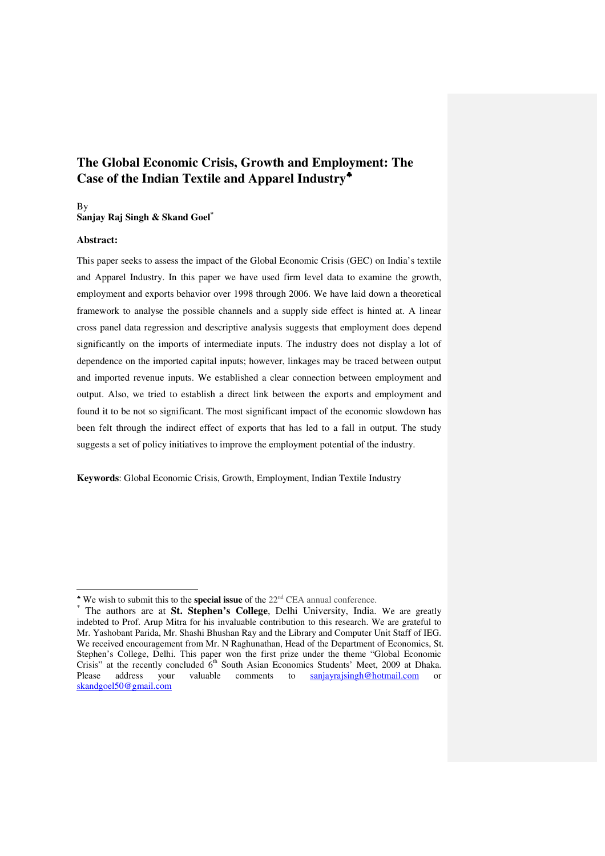# **The Global Economic Crisis, Growth and Employment: The Case of the Indian Textile and Apparel Industry**♣

#### By **Sanjay Raj Singh & Skand Goel\***

#### **Abstract:**

-

This paper seeks to assess the impact of the Global Economic Crisis (GEC) on India's textile and Apparel Industry. In this paper we have used firm level data to examine the growth, employment and exports behavior over 1998 through 2006. We have laid down a theoretical framework to analyse the possible channels and a supply side effect is hinted at. A linear cross panel data regression and descriptive analysis suggests that employment does depend significantly on the imports of intermediate inputs. The industry does not display a lot of dependence on the imported capital inputs; however, linkages may be traced between output and imported revenue inputs. We established a clear connection between employment and output. Also, we tried to establish a direct link between the exports and employment and found it to be not so significant. The most significant impact of the economic slowdown has been felt through the indirect effect of exports that has led to a fall in output. The study suggests a set of policy initiatives to improve the employment potential of the industry.

**Keywords**: Global Economic Crisis, Growth, Employment, Indian Textile Industry

<sup>♣</sup> We wish to submit this to the **special issue** of the 22nd CEA annual conference.

<sup>\*</sup> The authors are at **St. Stephen's College**, Delhi University, India. We are greatly indebted to Prof. Arup Mitra for his invaluable contribution to this research. We are grateful to Mr. Yashobant Parida, Mr. Shashi Bhushan Ray and the Library and Computer Unit Staff of IEG. We received encouragement from Mr. N Raghunathan, Head of the Department of Economics, St. Stephen's College, Delhi. This paper won the first prize under the theme "Global Economic Crisis" at the recently concluded  $\vec{6}^{th}$  South Asian Economics Students' Meet, 2009 at Dhaka. Please address your valuable comments to sanjayrajsingh@hotmail.com or skandgoel50@gmail.com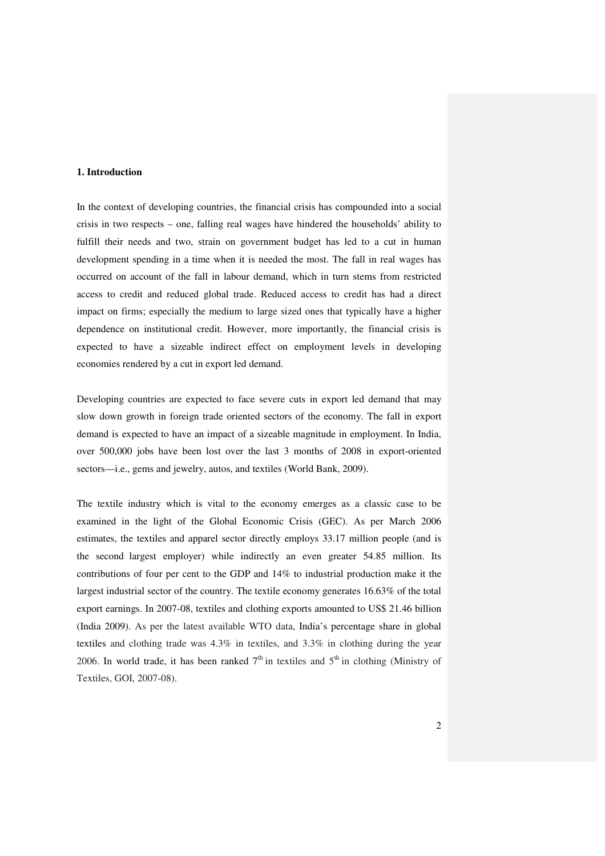### **1. Introduction**

In the context of developing countries, the financial crisis has compounded into a social crisis in two respects – one, falling real wages have hindered the households' ability to fulfill their needs and two, strain on government budget has led to a cut in human development spending in a time when it is needed the most. The fall in real wages has occurred on account of the fall in labour demand, which in turn stems from restricted access to credit and reduced global trade. Reduced access to credit has had a direct impact on firms; especially the medium to large sized ones that typically have a higher dependence on institutional credit. However, more importantly, the financial crisis is expected to have a sizeable indirect effect on employment levels in developing economies rendered by a cut in export led demand.

Developing countries are expected to face severe cuts in export led demand that may slow down growth in foreign trade oriented sectors of the economy. The fall in export demand is expected to have an impact of a sizeable magnitude in employment. In India, over 500,000 jobs have been lost over the last 3 months of 2008 in export-oriented sectors—i.e., gems and jewelry, autos, and textiles (World Bank, 2009).

The textile industry which is vital to the economy emerges as a classic case to be examined in the light of the Global Economic Crisis (GEC). As per March 2006 estimates, the textiles and apparel sector directly employs 33.17 million people (and is the second largest employer) while indirectly an even greater 54.85 million. Its contributions of four per cent to the GDP and 14% to industrial production make it the largest industrial sector of the country. The textile economy generates 16.63% of the total export earnings. In 2007-08, textiles and clothing exports amounted to US\$ 21.46 billion (India 2009). As per the latest available WTO data, India's percentage share in global textiles and clothing trade was 4.3% in textiles, and 3.3% in clothing during the year 2006. In world trade, it has been ranked  $7<sup>th</sup>$  in textiles and  $5<sup>th</sup>$  in clothing (Ministry of Textiles, GOI, 2007-08).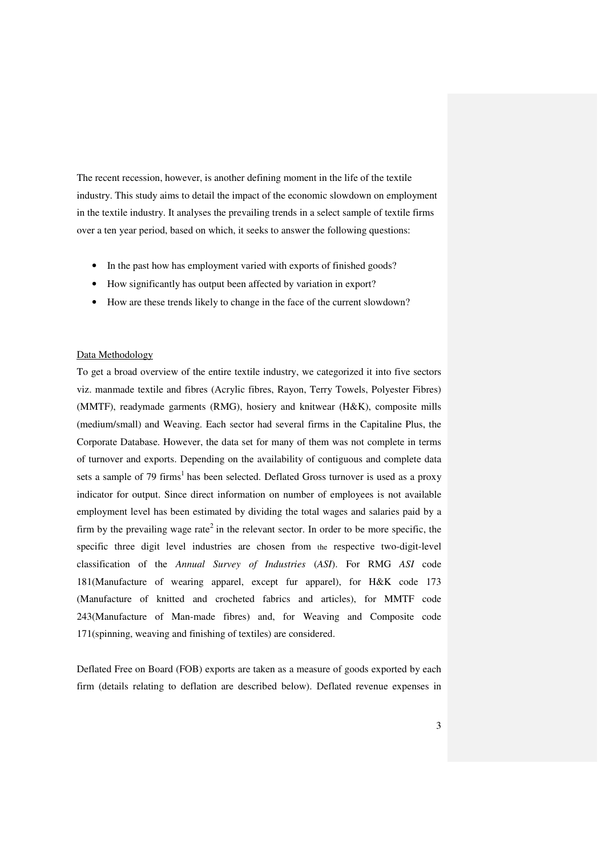The recent recession, however, is another defining moment in the life of the textile industry. This study aims to detail the impact of the economic slowdown on employment in the textile industry. It analyses the prevailing trends in a select sample of textile firms over a ten year period, based on which, it seeks to answer the following questions:

- In the past how has employment varied with exports of finished goods?
- How significantly has output been affected by variation in export?
- How are these trends likely to change in the face of the current slowdown?

#### Data Methodology

To get a broad overview of the entire textile industry, we categorized it into five sectors viz. manmade textile and fibres (Acrylic fibres, Rayon, Terry Towels, Polyester Fibres) (MMTF), readymade garments (RMG), hosiery and knitwear (H&K), composite mills (medium/small) and Weaving. Each sector had several firms in the Capitaline Plus, the Corporate Database. However, the data set for many of them was not complete in terms of turnover and exports. Depending on the availability of contiguous and complete data sets a sample of 79 firms<sup>1</sup> has been selected. Deflated Gross turnover is used as a proxy indicator for output. Since direct information on number of employees is not available employment level has been estimated by dividing the total wages and salaries paid by a firm by the prevailing wage rate<sup>2</sup> in the relevant sector. In order to be more specific, the specific three digit level industries are chosen from the respective two-digit-level classification of the *Annual Survey of Industries* (*ASI*). For RMG *ASI* code 181(Manufacture of wearing apparel, except fur apparel), for H&K code 173 (Manufacture of knitted and crocheted fabrics and articles), for MMTF code 243(Manufacture of Man-made fibres) and, for Weaving and Composite code 171(spinning, weaving and finishing of textiles) are considered.

Deflated Free on Board (FOB) exports are taken as a measure of goods exported by each firm (details relating to deflation are described below). Deflated revenue expenses in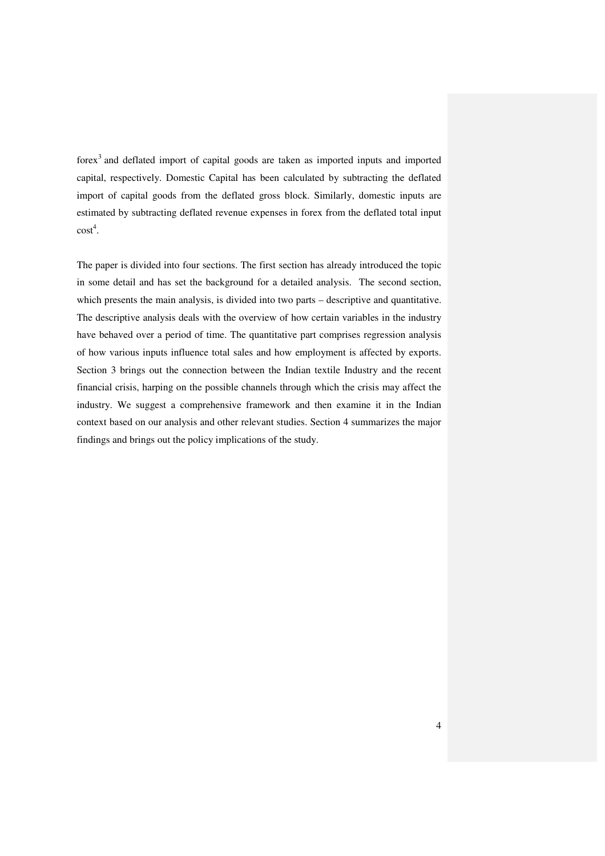forex<sup>3</sup> and deflated import of capital goods are taken as imported inputs and imported capital, respectively. Domestic Capital has been calculated by subtracting the deflated import of capital goods from the deflated gross block. Similarly, domestic inputs are estimated by subtracting deflated revenue expenses in forex from the deflated total input  $\text{cost}^4$ .

The paper is divided into four sections. The first section has already introduced the topic in some detail and has set the background for a detailed analysis. The second section, which presents the main analysis, is divided into two parts – descriptive and quantitative. The descriptive analysis deals with the overview of how certain variables in the industry have behaved over a period of time. The quantitative part comprises regression analysis of how various inputs influence total sales and how employment is affected by exports. Section 3 brings out the connection between the Indian textile Industry and the recent financial crisis, harping on the possible channels through which the crisis may affect the industry. We suggest a comprehensive framework and then examine it in the Indian context based on our analysis and other relevant studies. Section 4 summarizes the major findings and brings out the policy implications of the study.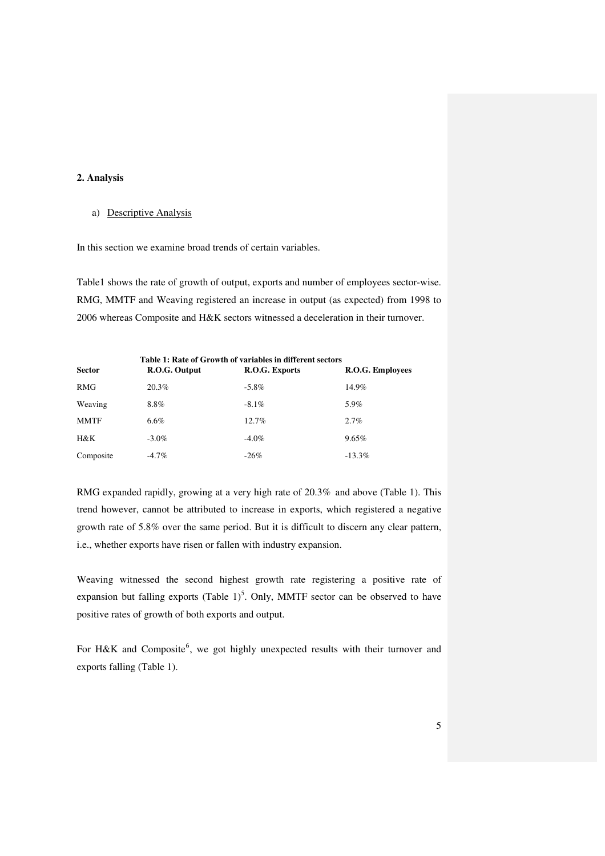## **2. Analysis**

### a) Descriptive Analysis

In this section we examine broad trends of certain variables.

Table1 shows the rate of growth of output, exports and number of employees sector-wise. RMG, MMTF and Weaving registered an increase in output (as expected) from 1998 to 2006 whereas Composite and H&K sectors witnessed a deceleration in their turnover.

| Table 1: Rate of Growth of variables in different sectors |               |                |                  |  |  |  |
|-----------------------------------------------------------|---------------|----------------|------------------|--|--|--|
| <b>Sector</b>                                             | R.O.G. Output | R.O.G. Exports | R.O.G. Employees |  |  |  |
| <b>RMG</b>                                                | 20.3%         | $-5.8\%$       | 14.9%            |  |  |  |
| Weaving                                                   | 8.8%          | $-8.1\%$       | 5.9%             |  |  |  |
| <b>MMTF</b>                                               | $6.6\%$       | $12.7\%$       | $2.7\%$          |  |  |  |
| H&K                                                       | $-3.0\%$      | $-4.0\%$       | 9.65%            |  |  |  |
| Composite                                                 | $-4.7\%$      | $-26%$         | $-13.3\%$        |  |  |  |

RMG expanded rapidly, growing at a very high rate of 20.3% and above (Table 1). This trend however, cannot be attributed to increase in exports, which registered a negative growth rate of 5.8% over the same period. But it is difficult to discern any clear pattern, i.e., whether exports have risen or fallen with industry expansion.

Weaving witnessed the second highest growth rate registering a positive rate of expansion but falling exports (Table  $1$ )<sup>5</sup>. Only, MMTF sector can be observed to have positive rates of growth of both exports and output.

For H&K and Composite  $6$ , we got highly unexpected results with their turnover and exports falling (Table 1).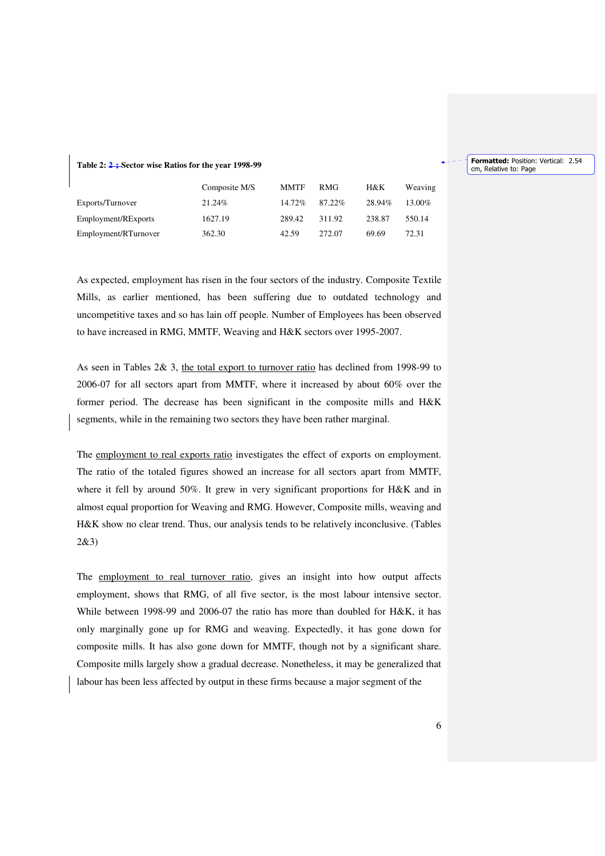#### **Table 2: 2**:**Sector wise Ratios for the year 1998-99**

|                      | Composite M/S | <b>MMTF</b> | RMG    | H&K    | Weaving |
|----------------------|---------------|-------------|--------|--------|---------|
| Exports/Turnover     | 21.24%        | 14.72%      | 87.22% | 28.94% | 13.00%  |
| Employment/RExports  | 1627.19       | 289.42      | 311.92 | 238.87 | 550.14  |
| Employment/RTurnover | 362.30        | 42.59       | 272.07 | 69.69  | 72.31   |

As expected, employment has risen in the four sectors of the industry. Composite Textile Mills, as earlier mentioned, has been suffering due to outdated technology and uncompetitive taxes and so has lain off people. Number of Employees has been observed to have increased in RMG, MMTF, Weaving and H&K sectors over 1995-2007.

As seen in Tables 2& 3, the total export to turnover ratio has declined from 1998-99 to 2006-07 for all sectors apart from MMTF, where it increased by about 60% over the former period. The decrease has been significant in the composite mills and H&K segments, while in the remaining two sectors they have been rather marginal.

The employment to real exports ratio investigates the effect of exports on employment. The ratio of the totaled figures showed an increase for all sectors apart from MMTF, where it fell by around 50%. It grew in very significant proportions for H&K and in almost equal proportion for Weaving and RMG. However, Composite mills, weaving and H&K show no clear trend. Thus, our analysis tends to be relatively inconclusive. (Tables 2&3)

The employment to real turnover ratio, gives an insight into how output affects employment, shows that RMG, of all five sector, is the most labour intensive sector. While between 1998-99 and 2006-07 the ratio has more than doubled for H&K, it has only marginally gone up for RMG and weaving. Expectedly, it has gone down for composite mills. It has also gone down for MMTF, though not by a significant share. Composite mills largely show a gradual decrease. Nonetheless, it may be generalized that labour has been less affected by output in these firms because a major segment of the

Formatted: Position: Vertical: 2.54 cm, Relative to: Page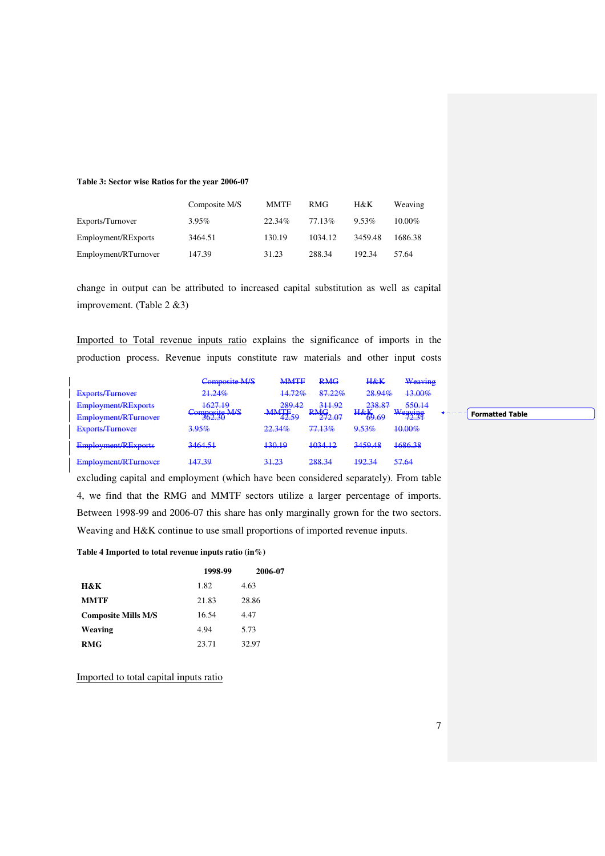#### **Table 3: Sector wise Ratios for the year 2006-07**

|                      | Composite M/S | <b>MMTF</b> | <b>RMG</b> | H&K     | Weaving   |
|----------------------|---------------|-------------|------------|---------|-----------|
| Exports/Turnover     | 3.95%         | 22.34%      | 77.13%     | 9.53%   | $10.00\%$ |
| Employment/RExports  | 3464.51       | 130.19      | 1034.12    | 3459.48 | 1686.38   |
| Employment/RTurnover | 147.39        | 31.23       | 288.34     | 192.34  | 57.64     |

change in output can be attributed to increased capital substitution as well as capital improvement. (Table 2 &3)

Imported to Total revenue inputs ratio explains the significance of imports in the production process. Revenue inputs constitute raw materials and other input costs

|                            | Composite M/S           | <b>MMTF</b>                                                                                                                                                                                                                                                                                                                 | <b>RMG</b>                | <b>H&amp;K</b>                                       | Weaving                           |  |
|----------------------------|-------------------------|-----------------------------------------------------------------------------------------------------------------------------------------------------------------------------------------------------------------------------------------------------------------------------------------------------------------------------|---------------------------|------------------------------------------------------|-----------------------------------|--|
| Exports/Turnover           | 21.24%                  | 14.72%                                                                                                                                                                                                                                                                                                                      | 87.22%                    | 28.94%                                               | 13.00%                            |  |
| <b>Employment/RExports</b> | 162710<br>1027.IY       | 289.42<br><b>MMTE</b>                                                                                                                                                                                                                                                                                                       | 311.92<br><b>DMG</b>      | <b>238.87</b><br>230.01<br>$H_{R}V$                  | 550.14                            |  |
| Employment/RTurnover       | Composite M/S<br>JUZ.JU | $\frac{1}{4}$ $\frac{1}{4}$ $\frac{1}{4}$ $\frac{1}{4}$ $\frac{1}{4}$ $\frac{1}{4}$ $\frac{1}{4}$ $\frac{1}{4}$ $\frac{1}{4}$ $\frac{1}{4}$ $\frac{1}{4}$ $\frac{1}{4}$ $\frac{1}{4}$ $\frac{1}{4}$ $\frac{1}{4}$ $\frac{1}{4}$ $\frac{1}{4}$ $\frac{1}{4}$ $\frac{1}{4}$ $\frac{1}{4}$ $\frac{1}{4}$ $\frac{1}{4}$<br>72.J | $\frac{1}{111}$<br>212.01 | $\frac{\pi \alpha}{\Delta b}$ 60<br><del>02.02</del> | Waaving<br>$W$ CH $X$ 145<br>72.J |  |
| <b>Exports/Turnover</b>    | 3.95%                   | 22.34%                                                                                                                                                                                                                                                                                                                      | 7713%<br>11.1370          | 9.53%                                                | 10.00%                            |  |
| <b>Employment/RExports</b> | 3464.51                 | 130.19                                                                                                                                                                                                                                                                                                                      | 1034.12                   | 3459.48                                              | 1686.38                           |  |
| Employment/RTurnover       | 147.30<br><del>.</del>  | 31.23                                                                                                                                                                                                                                                                                                                       | 20024<br>200.1            | 102.24<br>$+72.1$                                    | 57.64<br>$77.0^{\circ}$           |  |

excluding capital and employment (which have been considered separately). From table 4, we find that the RMG and MMTF sectors utilize a larger percentage of imports. Between 1998-99 and 2006-07 this share has only marginally grown for the two sectors. Weaving and H&K continue to use small proportions of imported revenue inputs.

#### **Table 4 Imported to total revenue inputs ratio (in%)**

|                            | 1998-99 | 2006-07 |
|----------------------------|---------|---------|
| H&K                        | 1.82    | 4.63    |
| <b>MMTF</b>                | 21.83   | 28.86   |
| <b>Composite Mills M/S</b> | 16.54   | 4.47    |
| Weaving                    | 4.94    | 5.73    |
| <b>RMG</b>                 | 23.71   | 32.97   |

Imported to total capital inputs ratio

 $\sqrt{\ }$  Formatted Table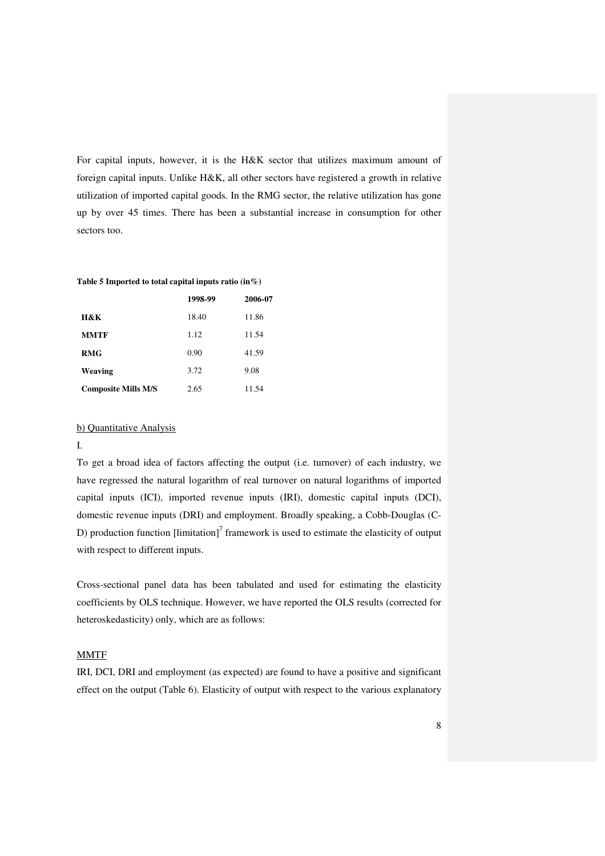For capital inputs, however, it is the H&K sector that utilizes maximum amount of foreign capital inputs. Unlike H&K, all other sectors have registered a growth in relative utilization of imported capital goods. In the RMG sector, the relative utilization has gone up by over 45 times. There has been a substantial increase in consumption for other sectors too.

#### **Table 5 Imported to total capital inputs ratio (in%)**

|                            | 1998-99 | 2006-07 |
|----------------------------|---------|---------|
| H&K                        | 18.40   | 11.86   |
| <b>MMTF</b>                | 1.12    | 11.54   |
| <b>RMG</b>                 | 0.90    | 41.59   |
| Weaving                    | 3.72    | 9.08    |
| <b>Composite Mills M/S</b> | 2.65    | 11.54   |

## b) Quantitative Analysis

## I.

To get a broad idea of factors affecting the output (i.e. turnover) of each industry, we have regressed the natural logarithm of real turnover on natural logarithms of imported capital inputs (ICI), imported revenue inputs (IRI), domestic capital inputs (DCI), domestic revenue inputs (DRI) and employment. Broadly speaking, a Cobb-Douglas (C-D) production function  $[\text{limitation}]^7$  framework is used to estimate the elasticity of output with respect to different inputs.

Cross-sectional panel data has been tabulated and used for estimating the elasticity coefficients by OLS technique. However, we have reported the OLS results (corrected for heteroskedasticity) only, which are as follows:

### MMTF

IRI, DCI, DRI and employment (as expected) are found to have a positive and significant effect on the output (Table 6). Elasticity of output with respect to the various explanatory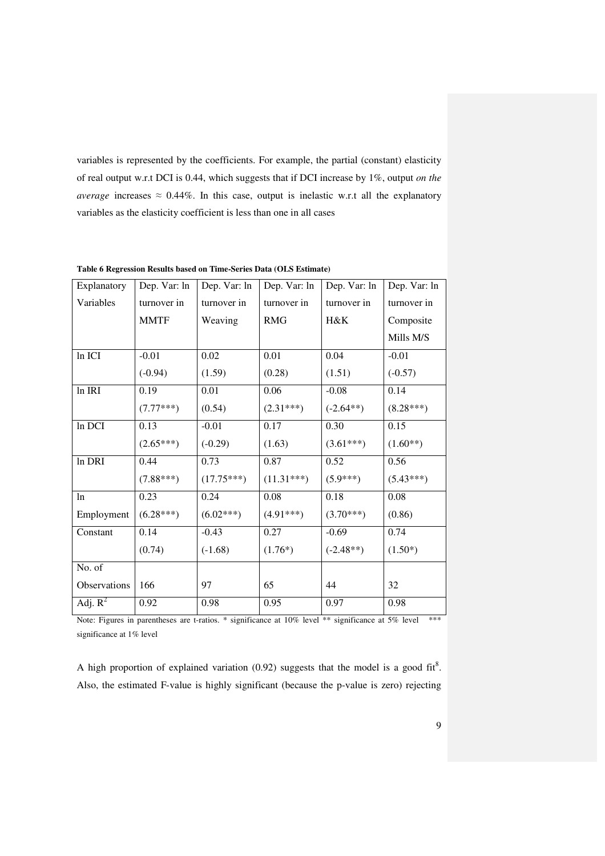variables is represented by the coefficients. For example, the partial (constant) elasticity of real output w.r.t DCI is 0.44, which suggests that if DCI increase by 1%, output *on the average* increases  $\approx 0.44\%$ . In this case, output is inelastic w.r.t all the explanatory variables as the elasticity coefficient is less than one in all cases

| Explanatory  | Dep. Var: ln | Dep. Var: ln | Dep. Var: ln | Dep. Var: ln | Dep. Var: ln |
|--------------|--------------|--------------|--------------|--------------|--------------|
| Variables    | turnover in  | turnover in  | turnover in  | turnover in  | turnover in  |
|              | <b>MMTF</b>  | Weaving      | <b>RMG</b>   | $H\&K$       | Composite    |
|              |              |              |              |              | Mills M/S    |
| In ICI       | $-0.01$      | 0.02         | 0.01         | 0.04         | $-0.01$      |
|              | $(-0.94)$    | (1.59)       | (0.28)       | (1.51)       | $(-0.57)$    |
| $ln$ IRI     | 0.19         | 0.01         | 0.06         | $-0.08$      | 0.14         |
|              | $(7.77***)$  | (0.54)       | $(2.31***)$  | $(-2.64**)$  | $(8.28***)$  |
| In DCI       | 0.13         | $-0.01$      | 0.17         | 0.30         | 0.15         |
|              | $(2.65***)$  | $(-0.29)$    | (1.63)       | $(3.61***)$  | $(1.60**)$   |
| In DRI       | 0.44         | 0.73         | 0.87         | 0.52         | 0.56         |
|              | $(7.88***)$  | $(17.75***)$ | $(11.31***)$ | $(5.9***)$   | $(5.43***)$  |
| ln           | 0.23         | 0.24         | 0.08         | 0.18         | 0.08         |
| Employment   | $(6.28***)$  | $(6.02***)$  | $(4.91***)$  | $(3.70***)$  | (0.86)       |
| Constant     | 0.14         | $-0.43$      | 0.27         | $-0.69$      | 0.74         |
|              | (0.74)       | $(-1.68)$    | $(1.76*)$    | $(-2.48**)$  | $(1.50*)$    |
| No. of       |              |              |              |              |              |
| Observations | 166          | 97           | 65           | 44           | 32           |
| Adj. $R^2$   | 0.92         | 0.98         | 0.95         | 0.97         | 0.98         |

**Table 6 Regression Results based on Time-Series Data (OLS Estimate)** 

Note: Figures in parentheses are t-ratios. \* significance at 10% level \*\* significance at 5% level \*\*\* significance at 1% level

A high proportion of explained variation (0.92) suggests that the model is a good fit<sup>8</sup>. Also, the estimated F-value is highly significant (because the p-value is zero) rejecting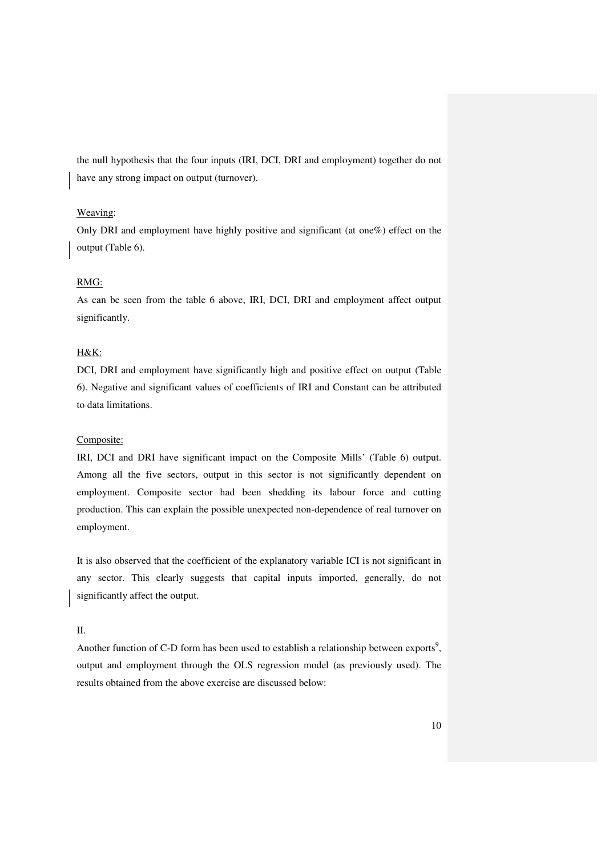the null hypothesis that the four inputs (IRI, DCI, DRI and employment) together do not have any strong impact on output (turnover).

### Weaving:

Only DRI and employment have highly positive and significant (at one%) effect on the output (Table 6).

## RMG:

As can be seen from the table 6 above, IRI, DCI, DRI and employment affect output significantly.

## H&K:

DCI, DRI and employment have significantly high and positive effect on output (Table 6). Negative and significant values of coefficients of IRI and Constant can be attributed to data limitations.

### Composite:

IRI, DCI and DRI have significant impact on the Composite Mills' (Table 6) output. Among all the five sectors, output in this sector is not significantly dependent on employment. Composite sector had been shedding its labour force and cutting production. This can explain the possible unexpected non-dependence of real turnover on employment.

It is also observed that the coefficient of the explanatory variable ICI is not significant in any sector. This clearly suggests that capital inputs imported, generally, do not significantly affect the output.

## II.

Another function of C-D form has been used to establish a relationship between exports<sup>9</sup>, output and employment through the OLS regression model (as previously used). The results obtained from the above exercise are discussed below: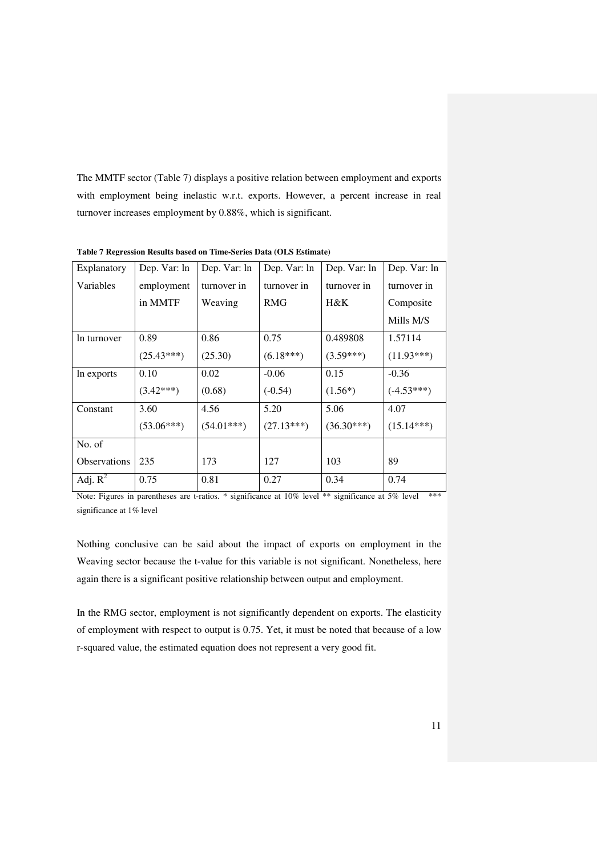The MMTF sector (Table 7) displays a positive relation between employment and exports with employment being inelastic w.r.t. exports. However, a percent increase in real turnover increases employment by 0.88%, which is significant.

| Explanatory         | Dep. Var: ln | Dep. Var: ln | Dep. Var: ln | Dep. Var: ln | Dep. Var: ln |
|---------------------|--------------|--------------|--------------|--------------|--------------|
| Variables           | employment   | turnover in  | turnover in  | turnover in  | turnover in  |
|                     | in MMTF      | Weaving      | <b>RMG</b>   | $H\&K$       | Composite    |
|                     |              |              |              |              | Mills M/S    |
| In turnover         | 0.89         | 0.86         | 0.75         | 0.489808     | 1.57114      |
|                     | $(25.43***)$ | (25.30)      | $(6.18***)$  | $(3.59***)$  | $(11.93***)$ |
| In exports          | 0.10         | 0.02         | $-0.06$      | 0.15         | $-0.36$      |
|                     | $(3.42***)$  | (0.68)       | $(-0.54)$    | $(1.56*)$    | $(-4.53***)$ |
| Constant            | 3.60         | 4.56         | 5.20         | 5.06         | 4.07         |
|                     | $(53.06***)$ | $(54.01***)$ | $(27.13***)$ | $(36.30***)$ | $(15.14***)$ |
| No. of              |              |              |              |              |              |
| <b>Observations</b> | 235          | 173          | 127          | 103          | 89           |
| Adj. $R^2$          | 0.75         | 0.81         | 0.27         | 0.34         | 0.74         |

**Table 7 Regression Results based on Time-Series Data (OLS Estimate)** 

Note: Figures in parentheses are t-ratios. \* significance at 10% level \*\* significance at 5% level \*\* significance at 1% level

Nothing conclusive can be said about the impact of exports on employment in the Weaving sector because the t-value for this variable is not significant. Nonetheless, here again there is a significant positive relationship between output and employment.

In the RMG sector, employment is not significantly dependent on exports. The elasticity of employment with respect to output is 0.75. Yet, it must be noted that because of a low r-squared value, the estimated equation does not represent a very good fit.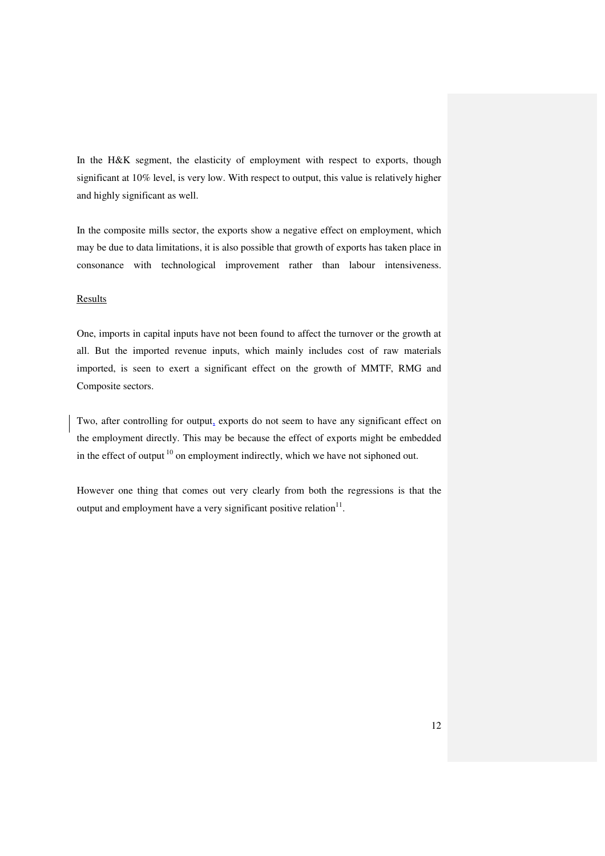In the H&K segment, the elasticity of employment with respect to exports, though significant at 10% level, is very low. With respect to output, this value is relatively higher and highly significant as well.

In the composite mills sector, the exports show a negative effect on employment, which may be due to data limitations, it is also possible that growth of exports has taken place in consonance with technological improvement rather than labour intensiveness.

### Results

One, imports in capital inputs have not been found to affect the turnover or the growth at all. But the imported revenue inputs, which mainly includes cost of raw materials imported, is seen to exert a significant effect on the growth of MMTF, RMG and Composite sectors.

Two, after controlling for output, exports do not seem to have any significant effect on the employment directly. This may be because the effect of exports might be embedded in the effect of output<sup>10</sup> on employment indirectly, which we have not siphoned out.

However one thing that comes out very clearly from both the regressions is that the output and employment have a very significant positive relation $11$ .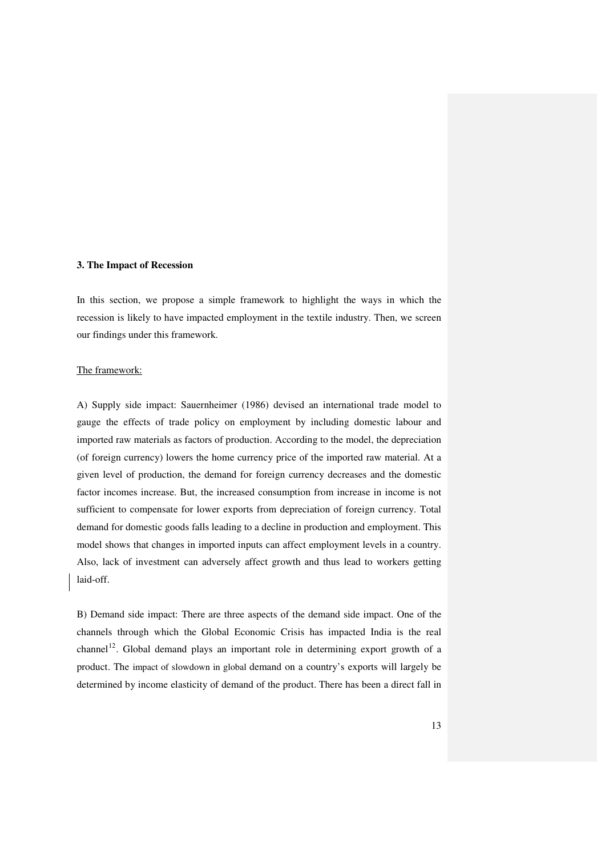#### **3. The Impact of Recession**

In this section, we propose a simple framework to highlight the ways in which the recession is likely to have impacted employment in the textile industry. Then, we screen our findings under this framework.

#### The framework:

A) Supply side impact: Sauernheimer (1986) devised an international trade model to gauge the effects of trade policy on employment by including domestic labour and imported raw materials as factors of production. According to the model, the depreciation (of foreign currency) lowers the home currency price of the imported raw material. At a given level of production, the demand for foreign currency decreases and the domestic factor incomes increase. But, the increased consumption from increase in income is not sufficient to compensate for lower exports from depreciation of foreign currency. Total demand for domestic goods falls leading to a decline in production and employment. This model shows that changes in imported inputs can affect employment levels in a country. Also, lack of investment can adversely affect growth and thus lead to workers getting laid-off.

B) Demand side impact: There are three aspects of the demand side impact. One of the channels through which the Global Economic Crisis has impacted India is the real channel<sup>12</sup>. Global demand plays an important role in determining export growth of a product. The impact of slowdown in global demand on a country's exports will largely be determined by income elasticity of demand of the product. There has been a direct fall in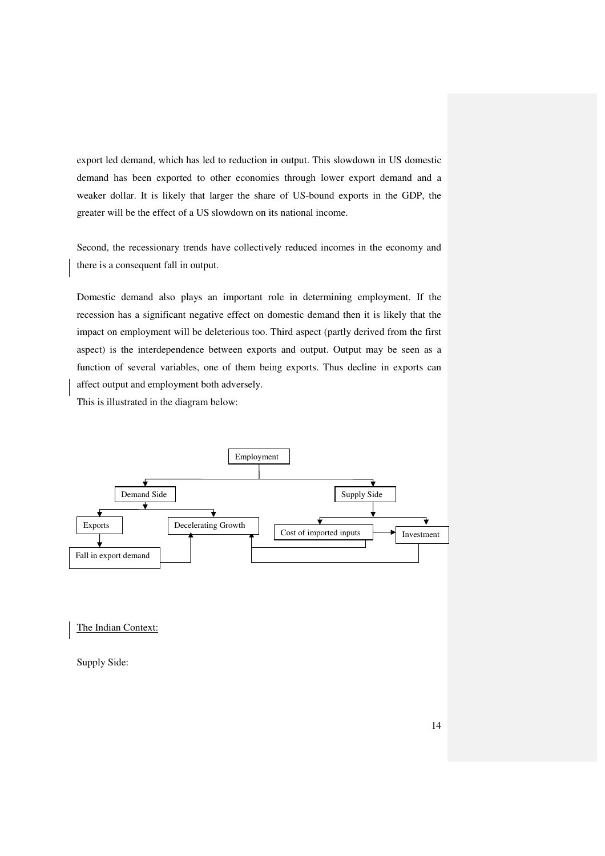export led demand, which has led to reduction in output. This slowdown in US domestic demand has been exported to other economies through lower export demand and a weaker dollar. It is likely that larger the share of US-bound exports in the GDP, the greater will be the effect of a US slowdown on its national income.

Second, the recessionary trends have collectively reduced incomes in the economy and there is a consequent fall in output.

Domestic demand also plays an important role in determining employment. If the recession has a significant negative effect on domestic demand then it is likely that the impact on employment will be deleterious too. Third aspect (partly derived from the first aspect) is the interdependence between exports and output. Output may be seen as a function of several variables, one of them being exports. Thus decline in exports can affect output and employment both adversely.

This is illustrated in the diagram below:



The Indian Context:

Supply Side: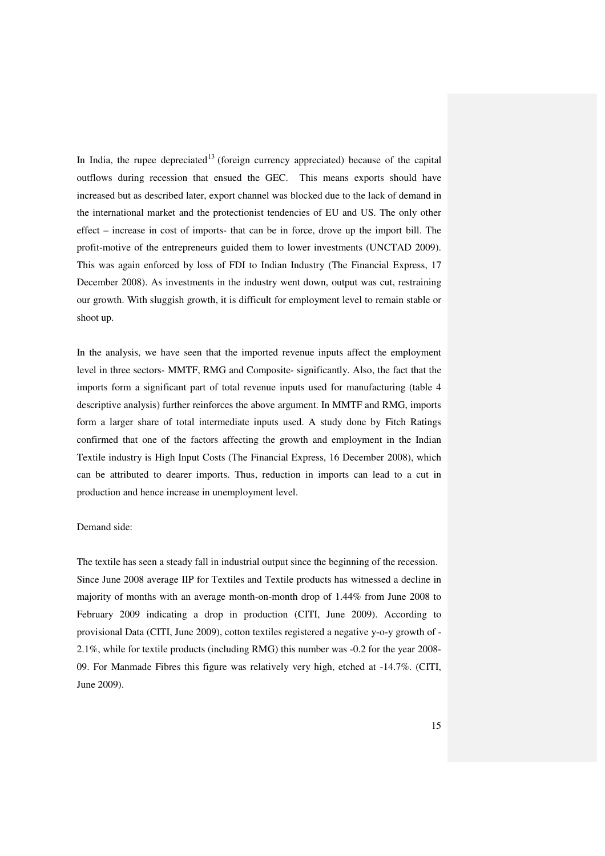In India, the rupee depreciated<sup>13</sup> (foreign currency appreciated) because of the capital outflows during recession that ensued the GEC. This means exports should have increased but as described later, export channel was blocked due to the lack of demand in the international market and the protectionist tendencies of EU and US. The only other effect – increase in cost of imports- that can be in force, drove up the import bill. The profit-motive of the entrepreneurs guided them to lower investments (UNCTAD 2009). This was again enforced by loss of FDI to Indian Industry (The Financial Express, 17 December 2008). As investments in the industry went down, output was cut, restraining our growth. With sluggish growth, it is difficult for employment level to remain stable or shoot up.

In the analysis, we have seen that the imported revenue inputs affect the employment level in three sectors- MMTF, RMG and Composite- significantly. Also, the fact that the imports form a significant part of total revenue inputs used for manufacturing (table 4 descriptive analysis) further reinforces the above argument. In MMTF and RMG, imports form a larger share of total intermediate inputs used. A study done by Fitch Ratings confirmed that one of the factors affecting the growth and employment in the Indian Textile industry is High Input Costs (The Financial Express, 16 December 2008), which can be attributed to dearer imports. Thus, reduction in imports can lead to a cut in production and hence increase in unemployment level.

#### Demand side:

The textile has seen a steady fall in industrial output since the beginning of the recession. Since June 2008 average IIP for Textiles and Textile products has witnessed a decline in majority of months with an average month-on-month drop of 1.44% from June 2008 to February 2009 indicating a drop in production (CITI, June 2009). According to provisional Data (CITI, June 2009), cotton textiles registered a negative y-o-y growth of - 2.1%, while for textile products (including RMG) this number was -0.2 for the year 2008- 09. For Manmade Fibres this figure was relatively very high, etched at -14.7%. (CITI, June 2009).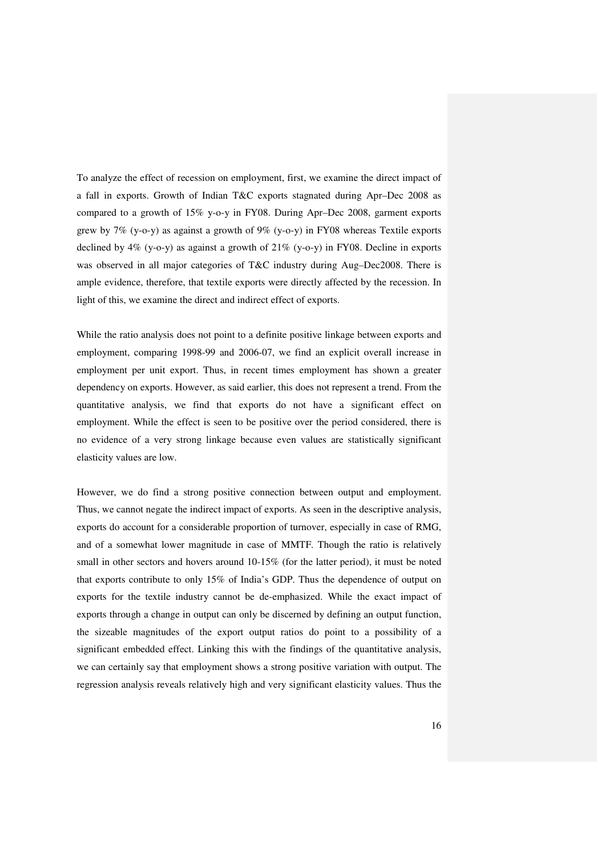To analyze the effect of recession on employment, first, we examine the direct impact of a fall in exports. Growth of Indian T&C exports stagnated during Apr–Dec 2008 as compared to a growth of 15% y-o-y in FY08. During Apr–Dec 2008, garment exports grew by 7% (y-o-y) as against a growth of 9% (y-o-y) in FY08 whereas Textile exports declined by  $4\%$  (y-o-y) as against a growth of  $21\%$  (y-o-y) in FY08. Decline in exports was observed in all major categories of T&C industry during Aug–Dec2008. There is ample evidence, therefore, that textile exports were directly affected by the recession. In light of this, we examine the direct and indirect effect of exports.

While the ratio analysis does not point to a definite positive linkage between exports and employment, comparing 1998-99 and 2006-07, we find an explicit overall increase in employment per unit export. Thus, in recent times employment has shown a greater dependency on exports. However, as said earlier, this does not represent a trend. From the quantitative analysis, we find that exports do not have a significant effect on employment. While the effect is seen to be positive over the period considered, there is no evidence of a very strong linkage because even values are statistically significant elasticity values are low.

However, we do find a strong positive connection between output and employment. Thus, we cannot negate the indirect impact of exports. As seen in the descriptive analysis, exports do account for a considerable proportion of turnover, especially in case of RMG, and of a somewhat lower magnitude in case of MMTF. Though the ratio is relatively small in other sectors and hovers around 10-15% (for the latter period), it must be noted that exports contribute to only 15% of India's GDP. Thus the dependence of output on exports for the textile industry cannot be de-emphasized. While the exact impact of exports through a change in output can only be discerned by defining an output function, the sizeable magnitudes of the export output ratios do point to a possibility of a significant embedded effect. Linking this with the findings of the quantitative analysis, we can certainly say that employment shows a strong positive variation with output. The regression analysis reveals relatively high and very significant elasticity values. Thus the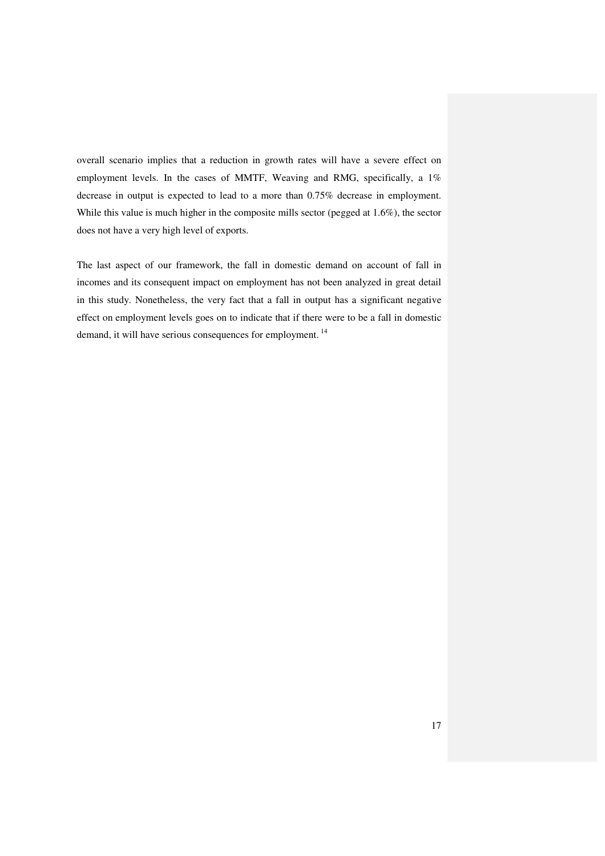overall scenario implies that a reduction in growth rates will have a severe effect on employment levels. In the cases of MMTF, Weaving and RMG, specifically, a 1% decrease in output is expected to lead to a more than 0.75% decrease in employment. While this value is much higher in the composite mills sector (pegged at 1.6%), the sector does not have a very high level of exports.

The last aspect of our framework, the fall in domestic demand on account of fall in incomes and its consequent impact on employment has not been analyzed in great detail in this study. Nonetheless, the very fact that a fall in output has a significant negative effect on employment levels goes on to indicate that if there were to be a fall in domestic demand, it will have serious consequences for employment.<sup>14</sup>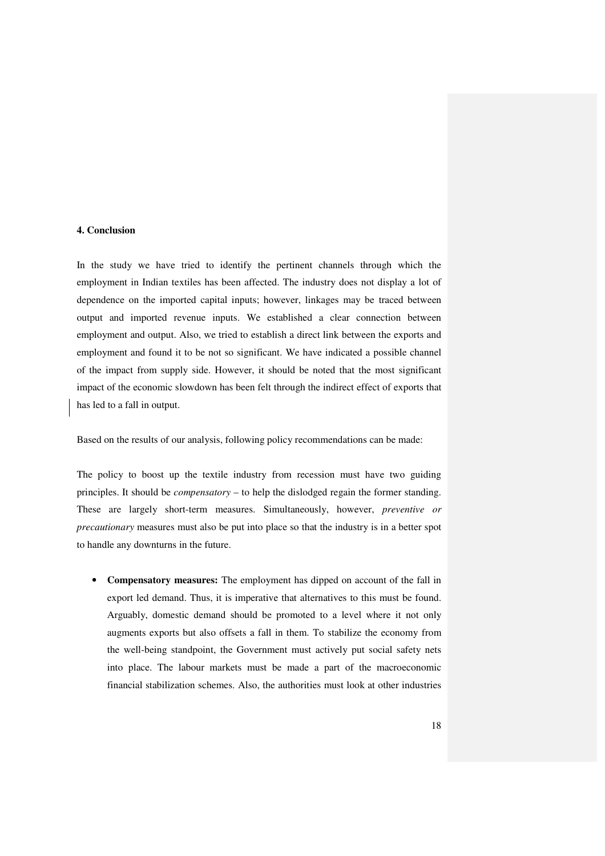#### **4. Conclusion**

In the study we have tried to identify the pertinent channels through which the employment in Indian textiles has been affected. The industry does not display a lot of dependence on the imported capital inputs; however, linkages may be traced between output and imported revenue inputs. We established a clear connection between employment and output. Also, we tried to establish a direct link between the exports and employment and found it to be not so significant. We have indicated a possible channel of the impact from supply side. However, it should be noted that the most significant impact of the economic slowdown has been felt through the indirect effect of exports that has led to a fall in output.

Based on the results of our analysis, following policy recommendations can be made:

The policy to boost up the textile industry from recession must have two guiding principles. It should be *compensatory* – to help the dislodged regain the former standing. These are largely short-term measures. Simultaneously, however, *preventive or precautionary* measures must also be put into place so that the industry is in a better spot to handle any downturns in the future.

• **Compensatory measures:** The employment has dipped on account of the fall in export led demand. Thus, it is imperative that alternatives to this must be found. Arguably, domestic demand should be promoted to a level where it not only augments exports but also offsets a fall in them. To stabilize the economy from the well-being standpoint, the Government must actively put social safety nets into place. The labour markets must be made a part of the macroeconomic financial stabilization schemes. Also, the authorities must look at other industries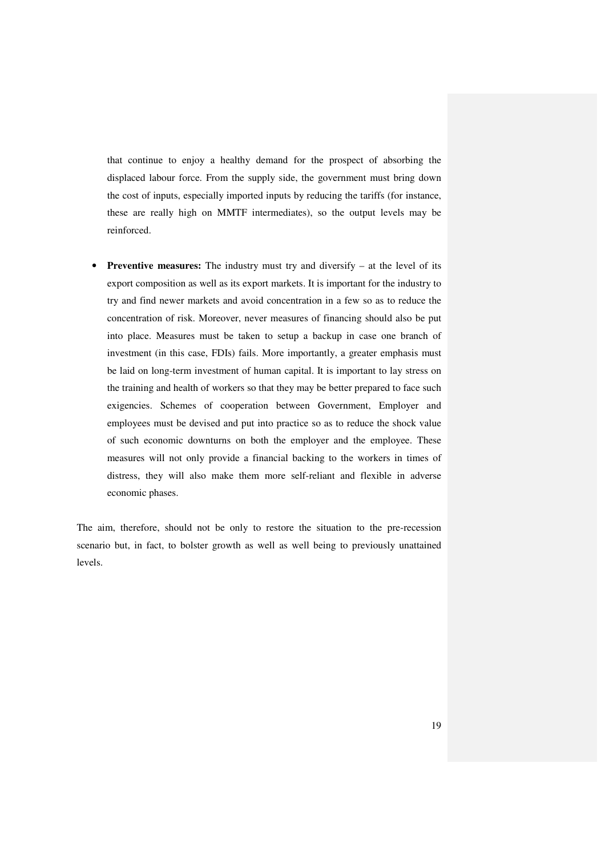that continue to enjoy a healthy demand for the prospect of absorbing the displaced labour force. From the supply side, the government must bring down the cost of inputs, especially imported inputs by reducing the tariffs (for instance, these are really high on MMTF intermediates), so the output levels may be reinforced.

• **Preventive measures:** The industry must try and diversify – at the level of its export composition as well as its export markets. It is important for the industry to try and find newer markets and avoid concentration in a few so as to reduce the concentration of risk. Moreover, never measures of financing should also be put into place. Measures must be taken to setup a backup in case one branch of investment (in this case, FDIs) fails. More importantly, a greater emphasis must be laid on long-term investment of human capital. It is important to lay stress on the training and health of workers so that they may be better prepared to face such exigencies. Schemes of cooperation between Government, Employer and employees must be devised and put into practice so as to reduce the shock value of such economic downturns on both the employer and the employee. These measures will not only provide a financial backing to the workers in times of distress, they will also make them more self-reliant and flexible in adverse economic phases.

The aim, therefore, should not be only to restore the situation to the pre-recession scenario but, in fact, to bolster growth as well as well being to previously unattained levels.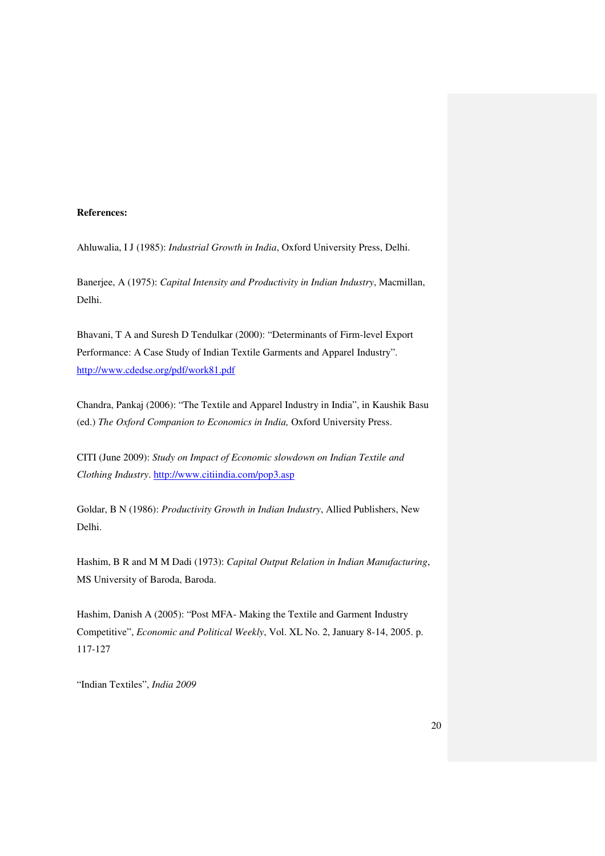#### **References:**

Ahluwalia, I J (1985): *Industrial Growth in India*, Oxford University Press, Delhi.

Banerjee, A (1975): *Capital Intensity and Productivity in Indian Industry*, Macmillan, Delhi.

Bhavani, T A and Suresh D Tendulkar (2000): "Determinants of Firm-level Export Performance: A Case Study of Indian Textile Garments and Apparel Industry". http://www.cdedse.org/pdf/work81.pdf

Chandra, Pankaj (2006): "The Textile and Apparel Industry in India", in Kaushik Basu (ed.) *The Oxford Companion to Economics in India,* Oxford University Press.

CITI (June 2009): *Study on Impact of Economic slowdown on Indian Textile and Clothing Industry*. http://www.citiindia.com/pop3.asp

Goldar, B N (1986): *Productivity Growth in Indian Industry*, Allied Publishers, New Delhi.

Hashim, B R and M M Dadi (1973): *Capital Output Relation in Indian Manufacturing*, MS University of Baroda, Baroda.

Hashim, Danish A (2005): "Post MFA- Making the Textile and Garment Industry Competitive", *Economic and Political Weekly*, Vol. XL No. 2, January 8-14, 2005. p. 117-127

"Indian Textiles", *India 2009*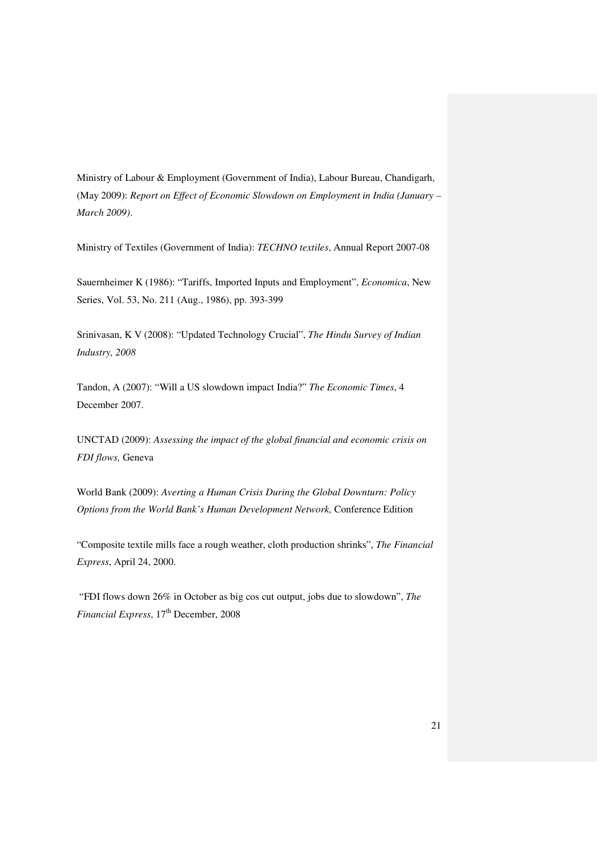Ministry of Labour & Employment (Government of India), Labour Bureau, Chandigarh, (May 2009): *Report on Effect of Economic Slowdown on Employment in India (January – March 2009)*.

Ministry of Textiles (Government of India): *TECHNO textiles*, Annual Report 2007-08

Sauernheimer K (1986): "Tariffs, Imported Inputs and Employment", *Economica*, New Series, Vol. 53, No. 211 (Aug., 1986), pp. 393-399

Srinivasan, K V (2008): "Updated Technology Crucial", *The Hindu Survey of Indian Industry, 2008* 

Tandon, A (2007): "Will a US slowdown impact India?" *The Economic Times*, 4 December 2007.

UNCTAD (2009): *Assessing the impact of the global financial and economic crisis on FDI flows,* Geneva

World Bank (2009): *Averting a Human Crisis During the Global Downturn: Policy Options from the World Bank's Human Development Network,* Conference Edition

"Composite textile mills face a rough weather, cloth production shrinks", *The Financial Express*, April 24, 2000.

 "FDI flows down 26% in October as big cos cut output, jobs due to slowdown", *The Financial Express*, 17<sup>th</sup> December, 2008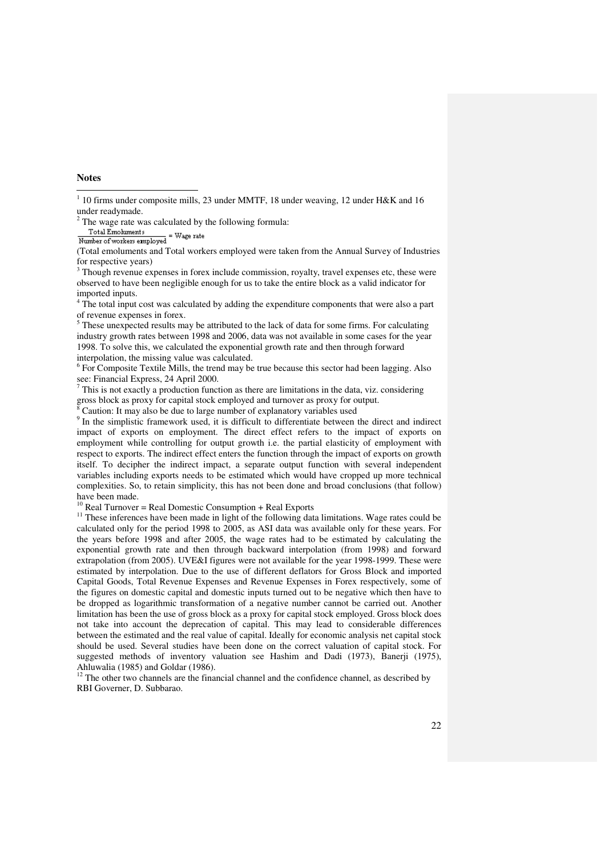#### **Notes**

(Total emoluments and Total workers employed were taken from the Annual Survey of Industries<br>(Total emoluments and Total workers employed were taken from the Annual Survey of Industries for respective years)

<sup>3</sup> Though revenue expenses in forex include commission, royalty, travel expenses etc, these were observed to have been negligible enough for us to take the entire block as a valid indicator for imported inputs.

<sup>4</sup> The total input cost was calculated by adding the expenditure components that were also a part of revenue expenses in forex.

<sup>5</sup> These unexpected results may be attributed to the lack of data for some firms. For calculating industry growth rates between 1998 and 2006, data was not available in some cases for the year 1998. To solve this, we calculated the exponential growth rate and then through forward interpolation, the missing value was calculated.

<sup>6</sup> For Composite Textile Mills, the trend may be true because this sector had been lagging. Also see: Financial Express, 24 April 2000.

 $7$  This is not exactly a production function as there are limitations in the data, viz. considering gross block as proxy for capital stock employed and turnover as proxy for output.<br>
<sup>8</sup> Coution: It may also be due to large number of explanatory veriables used

Caution: It may also be due to large number of explanatory variables used

<sup>9</sup> In the simplistic framework used, it is difficult to differentiate between the direct and indirect impact of exports on employment. The direct effect refers to the impact of exports on employment while controlling for output growth i.e. the partial elasticity of employment with respect to exports. The indirect effect enters the function through the impact of exports on growth itself. To decipher the indirect impact, a separate output function with several independent variables including exports needs to be estimated which would have cropped up more technical complexities. So, to retain simplicity, this has not been done and broad conclusions (that follow) have been made.

 $10$  Real Turnover = Real Domestic Consumption + Real Exports

<sup>11</sup> These inferences have been made in light of the following data limitations. Wage rates could be calculated only for the period 1998 to 2005, as ASI data was available only for these years. For the years before 1998 and after 2005, the wage rates had to be estimated by calculating the exponential growth rate and then through backward interpolation (from 1998) and forward extrapolation (from 2005). UVE&I figures were not available for the year 1998-1999. These were estimated by interpolation. Due to the use of different deflators for Gross Block and imported Capital Goods, Total Revenue Expenses and Revenue Expenses in Forex respectively, some of the figures on domestic capital and domestic inputs turned out to be negative which then have to be dropped as logarithmic transformation of a negative number cannot be carried out. Another limitation has been the use of gross block as a proxy for capital stock employed. Gross block does not take into account the deprecation of capital. This may lead to considerable differences between the estimated and the real value of capital. Ideally for economic analysis net capital stock should be used. Several studies have been done on the correct valuation of capital stock. For suggested methods of inventory valuation see Hashim and Dadi (1973), Banerji (1975), Ahluwalia (1985) and Goldar (1986).

<sup>12</sup> The other two channels are the financial channel and the confidence channel, as described by RBI Governer, D. Subbarao.

<sup>&</sup>lt;sup>1</sup> 10 firms under composite mills, 23 under MMTF, 18 under weaving, 12 under H&K and 16 under readymade.

 $2$  The wage rate was calculated by the following formula:

Total Emohments